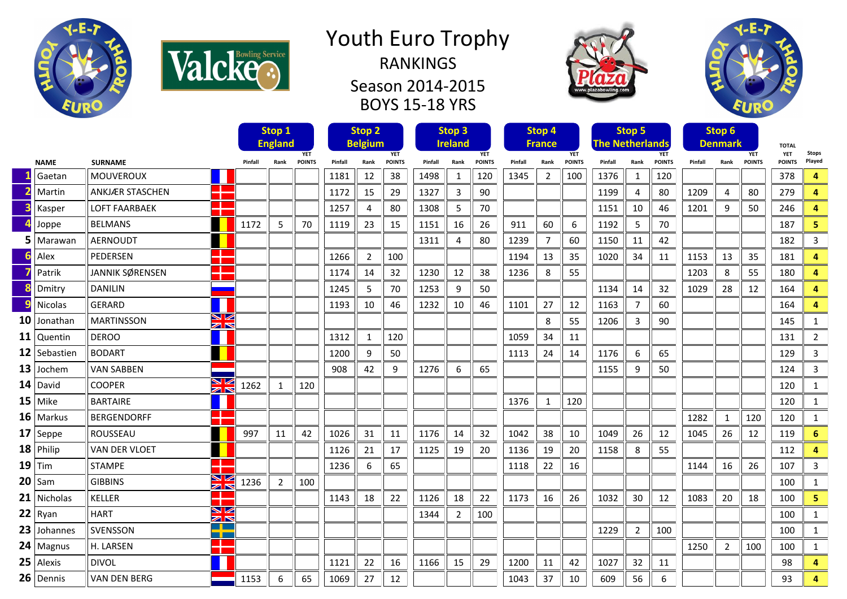

Valcke<sup>s Service</sup>

## Youth Euro Trophy RANKINGS Season 2014-2015

BOYS 15-18 YRS





|                |                                                 |                                                                                                                                                       |                                                |                                | Stop <sub>2</sub> |                | Stop 3        |                              |      | Stop 4         |            |                | Stop 5        |            |                | Stop 6        |                                      |                |                |               |                |
|----------------|-------------------------------------------------|-------------------------------------------------------------------------------------------------------------------------------------------------------|------------------------------------------------|--------------------------------|-------------------|----------------|---------------|------------------------------|------|----------------|------------|----------------|---------------|------------|----------------|---------------|--------------------------------------|----------------|----------------|---------------|----------------|
|                |                                                 |                                                                                                                                                       |                                                |                                |                   |                |               |                              |      |                |            |                |               |            |                |               |                                      |                |                | <b>TOTAL</b>  | <b>Stops</b>   |
| <b>NAME</b>    | <b>SURNAME</b>                                  |                                                                                                                                                       | Rank                                           | <b>POINTS</b>                  | Pinfall           | Rank           | <b>POINTS</b> | Pinfall                      | Rank | <b>POINTS</b>  | Pinfall    | Rank           | <b>POINTS</b> | Pinfall    | Rank           | <b>POINTS</b> | Pinfall                              | Rank           | <b>POINTS</b>  | <b>POINTS</b> | Played         |
| Gaetan         | <b>MOUVEROUX</b>                                |                                                                                                                                                       |                                                |                                | 1181              | 12             | 38            | 1498                         | 1    | 120            | 1345       | $\overline{2}$ | 100           | 1376       | 1              | 120           |                                      |                |                | 378           | 4              |
| Martin         | <b>ANKJÆR STASCHEN</b>                          |                                                                                                                                                       |                                                |                                | 1172              | 15             | 29            | 1327                         | 3    | 90             |            |                |               | 1199       | 4              | 80            | 1209                                 | 4              | 80             | 279           | 4              |
| Kasper         | <b>LOFT FAARBAEK</b>                            |                                                                                                                                                       |                                                |                                | 1257              | 4              | 80            | 1308                         | 5    | 70             |            |                |               | 1151       | 10             | 46            | 1201                                 | 9              | 50             | 246           | 4              |
| Joppe          | <b>BELMANS</b>                                  |                                                                                                                                                       | 5                                              | 70                             | 1119              | 23             | 15            | 1151                         | 16   | 26             | 911        | 60             | 6             | 1192       | 5              | 70            |                                      |                |                | 187           | 5              |
| 5   Marawan    | <b>AERNOUDT</b>                                 |                                                                                                                                                       |                                                |                                |                   |                |               | 1311                         | 4    | 80             | 1239       | $\overline{7}$ | 60            | 1150       | 11             | 42            |                                      |                |                | 182           | $\overline{3}$ |
| Alex           | PEDERSEN<br>т                                   |                                                                                                                                                       |                                                |                                | 1266              | $\overline{2}$ | 100           |                              |      |                | 1194       | 13             | 35            | 1020       | 34             | 11            | 1153                                 | 13             | 35             | 181           | 4              |
| Patrik         | JANNIK SØRENSEN                                 |                                                                                                                                                       |                                                |                                | 1174              | 14             | 32            | 1230                         | 12   | 38             | 1236       | 8              | 55            |            |                |               | 1203                                 | 8              | 55             | 180           | 4              |
| Dmitry         | <b>DANILIN</b>                                  |                                                                                                                                                       |                                                |                                | 1245              | 5              | 70            | 1253                         | 9    | 50             |            |                |               | 1134       | 14             | 32            | 1029                                 | 28             | 12             | 164           | 4              |
| Nicolas        | <b>GERARD</b>                                   |                                                                                                                                                       |                                                |                                | 1193              | 10             | 46            | 1232                         | 10   | 46             | 1101       | 27             | 12            | 1163       | $\overline{7}$ | 60            |                                      |                |                | 164           | 4              |
| 10<br>Jonathan | <b>MARTINSSON</b>                               |                                                                                                                                                       |                                                |                                |                   |                |               |                              |      |                |            | 8              | 55            | 1206       | 3              | 90            |                                      |                |                | 145           | 1              |
| $11$ Quentin   | <b>DEROO</b>                                    |                                                                                                                                                       |                                                |                                | 1312              | 1              | 120           |                              |      |                | 1059       | 34             | 11            |            |                |               |                                      |                |                | 131           | $\overline{2}$ |
| 12   Sebastien | <b>BODART</b>                                   |                                                                                                                                                       |                                                |                                | 1200              | 9              | 50            |                              |      |                | 1113       | 24             | 14            | 1176       | 6              | 65            |                                      |                |                | 129           | 3              |
| $13$ Jochem    | <b>VAN SABBEN</b>                               |                                                                                                                                                       |                                                |                                | 908               | 42             | 9             | 1276                         | 6    | 65             |            |                |               | 1155       | 9              | 50            |                                      |                |                | 124           | 3              |
| $14$ David     | <b>COOPER</b>                                   |                                                                                                                                                       | 1                                              | 120                            |                   |                |               |                              |      |                |            |                |               |            |                |               |                                      |                |                | 120           | $\mathbf{1}$   |
| $15$ Mike      | <b>BARTAIRE</b>                                 |                                                                                                                                                       |                                                |                                |                   |                |               |                              |      |                | 1376       | 1              | 120           |            |                |               |                                      |                |                | 120           | $\mathbf{1}$   |
| $16$   Markus  | BERGENDORFF                                     |                                                                                                                                                       |                                                |                                |                   |                |               |                              |      |                |            |                |               |            |                |               | 1282                                 | 1              | 120            | 120           | 1              |
| $17$ Seppe     | ROUSSEAU                                        |                                                                                                                                                       |                                                | 42                             | 1026              | 31             | 11            | 1176                         | 14   | 32             | 1042       | 38             | 10            | 1049       | 26             | 12            | 1045                                 | 26             | 12             | 119           | 6              |
| $18$ Philip    | VAN DER VLOET                                   |                                                                                                                                                       |                                                |                                | 1126              | 21             | 17            | 1125                         | 19   | 20             | 1136       | 19             | 20            | 1158       | 8              | 55            |                                      |                |                | 112           | 4              |
| $19$ Tim       | <b>STAMPE</b>                                   |                                                                                                                                                       |                                                |                                | 1236              | 6              | 65            |                              |      |                | 1118       | 22             | 16            |            |                |               | 1144                                 | 16             | 26             | 107           | 3              |
| $20$ Sam       | <b>GIBBINS</b>                                  |                                                                                                                                                       | $\overline{2}$                                 | 100                            |                   |                |               |                              |      |                |            |                |               |            |                |               |                                      |                |                | 100           | $\mathbf{1}$   |
| $21$ Nicholas  | <b>The Contract State</b><br><b>KELLER</b><br>T |                                                                                                                                                       |                                                |                                | 1143              | 18             | 22            | 1126                         | 18   | 22             | 1173       | 16             | 26            | 1032       | 30             | 12            | 1083                                 | 20             | 18             | 100           | 5              |
| $22$ Ryan      | <b>HART</b>                                     |                                                                                                                                                       |                                                |                                |                   |                |               | 1344                         | 2    | 100            |            |                |               |            |                |               |                                      |                |                | 100           | $\mathbf{1}$   |
| $23$ Johannes  | SVENSSON                                        |                                                                                                                                                       |                                                |                                |                   |                |               |                              |      |                |            |                |               | 1229       | $\overline{2}$ | 100           |                                      |                |                | 100           | $\mathbf{1}$   |
| $24$ Magnus    | H. LARSEN                                       |                                                                                                                                                       |                                                |                                |                   |                |               |                              |      |                |            |                |               |            |                |               | 1250                                 | $\overline{2}$ | 100            | 100           | $\mathbf{1}$   |
| $25$   Alexis  | <b>DIVOL</b>                                    |                                                                                                                                                       |                                                |                                | 1121              | 22             | 16            | 1166                         | 15   | 29             | 1200       | 11             | 42            | 1027       | 32             | 11            |                                      |                |                | 98            | 4              |
| $26$ Dennis    | VAN DEN BERG                                    |                                                                                                                                                       | 6                                              | 65                             | 1069              | 27             | 12            |                              |      |                | 1043       | 37             | 10            | 609        | 56             | 6             |                                      |                |                | 93            | 4              |
|                |                                                 | ↘ڻ<br>$\mathbb{Z}$<br>$\blacksquare$<br>$\geq$<br><b>The Contract Service</b><br>V<br>$\mathbb{Z}$<br>N∠<br>$\geq$<br><u>a ba</u><br>n pr<br><b>O</b> | Pinfall<br>1172<br>1262<br>997<br>1236<br>1153 | Stop 1<br><b>England</b><br>11 | <b>YET</b>        |                |               | <b>Belgium</b><br><b>YET</b> |      | <b>Ireland</b> | <b>YET</b> |                | <b>France</b> | <b>YET</b> |                |               | <b>The Netherlands</b><br><b>YET</b> |                | <b>Denmark</b> | <b>YET</b>    | YET            |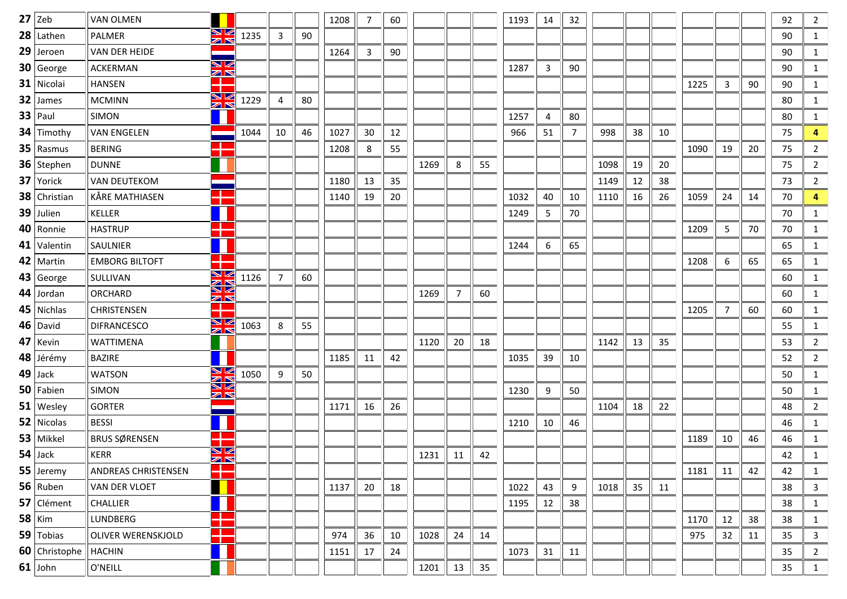| $27$ Zeb       | <b>VAN OLMEN</b>           |                               |      |                |    | 1208 | 7  | 60 |      |    |    | 1193 | 14 | 32             |      |    |    |      |    |    | 92 | $\overline{2}$ |
|----------------|----------------------------|-------------------------------|------|----------------|----|------|----|----|------|----|----|------|----|----------------|------|----|----|------|----|----|----|----------------|
| $28$ Lathen    | PALMER                     | K<br>$\geq$                   | 1235 | 3              | 90 |      |    |    |      |    |    |      |    |                |      |    |    |      |    |    | 90 | $\mathbf{1}$   |
| $29$ Jeroen    | VAN DER HEIDE              |                               |      |                |    | 1264 | 3  | 90 |      |    |    |      |    |                |      |    |    |      |    |    | 90 | $\mathbf{1}$   |
| 30 George      | <b>ACKERMAN</b>            | NИ<br>$\overline{\mathbb{Z}}$ |      |                |    |      |    |    |      |    |    | 1287 | 3  | 90             |      |    |    |      |    |    | 90 | 1              |
| 31 Nicolai     | <b>HANSEN</b>              | a pro                         |      |                |    |      |    |    |      |    |    |      |    |                |      |    |    | 1225 | 3  | 90 | 90 | $\mathbf{1}$   |
| $32$ James     | <b>MCMINN</b>              | ▧<br>$\geq$                   | 1229 | 4              | 80 |      |    |    |      |    |    |      |    |                |      |    |    |      |    |    | 80 | $\mathbf{1}$   |
| $33$   Paul    | <b>SIMON</b>               |                               |      |                |    |      |    |    |      |    |    | 1257 | 4  | 80             |      |    |    |      |    |    | 80 | $\mathbf{1}$   |
| $34$ Timothy   | <b>VAN ENGELEN</b>         |                               | 1044 | 10             | 46 | 1027 | 30 | 12 |      |    |    | 966  | 51 | $\overline{7}$ | 998  | 38 | 10 |      |    |    | 75 | 4              |
| $35$ Rasmus    | <b>BERING</b>              |                               |      |                |    | 1208 | 8  | 55 |      |    |    |      |    |                |      |    |    | 1090 | 19 | 20 | 75 | $\overline{2}$ |
| 36 Stephen     | <b>DUNNE</b>               |                               |      |                |    |      |    |    | 1269 | 8  | 55 |      |    |                | 1098 | 19 | 20 |      |    |    | 75 | $\overline{2}$ |
| 37 Yorick      | <b>VAN DEUTEKOM</b>        |                               |      |                |    | 1180 | 13 | 35 |      |    |    |      |    |                | 1149 | 12 | 38 |      |    |    | 73 | $\overline{2}$ |
| 38 Christian   | KÅRE MATHIASEN             |                               |      |                |    | 1140 | 19 | 20 |      |    |    | 1032 | 40 | 10             | 1110 | 16 | 26 | 1059 | 24 | 14 | 70 | 4              |
| 39 Julien      | <b>KELLER</b>              |                               |      |                |    |      |    |    |      |    |    | 1249 | 5  | 70             |      |    |    |      |    |    | 70 | 1              |
| 40 Ronnie      | <b>HASTRUP</b>             | <b>COLOR</b>                  |      |                |    |      |    |    |      |    |    |      |    |                |      |    |    | 1209 | 5  | 70 | 70 | $\mathbf{1}$   |
| $41$ Valentin  | <b>SAULNIER</b>            |                               |      |                |    |      |    |    |      |    |    | 1244 | 6  | 65             |      |    |    |      |    |    | 65 | $\mathbf{1}$   |
| $42$ Martin    | <b>EMBORG BILTOFT</b>      |                               |      |                |    |      |    |    |      |    |    |      |    |                |      |    |    | 1208 | 6  | 65 | 65 | $\mathbf{1}$   |
| 43 George      | SULLIVAN                   | N<br>N                        | 1126 | $\overline{7}$ | 60 |      |    |    |      |    |    |      |    |                |      |    |    |      |    |    | 60 | $\mathbf{1}$   |
| $44$ Jordan    | ORCHARD                    | ▧<br>$\mathbb{Z}$             |      |                |    |      |    |    | 1269 | 7  | 60 |      |    |                |      |    |    |      |    |    | 60 | 1              |
| $45$ Nichlas   | <b>CHRISTENSEN</b>         |                               |      |                |    |      |    |    |      |    |    |      |    |                |      |    |    | 1205 | 7  | 60 | 60 | $\mathbf{1}$   |
| $46$ David     | <b>DIFRANCESCO</b>         | NZ<br>$\mathbb{Z} \mathbb{R}$ | 1063 | 8              | 55 |      |    |    |      |    |    |      |    |                |      |    |    |      |    |    | 55 | $\mathbf{1}$   |
| $47$ Kevin     | WATTIMENA                  |                               |      |                |    |      |    |    | 1120 | 20 | 18 |      |    |                | 1142 | 13 | 35 |      |    |    | 53 | $\overline{2}$ |
| $48$ Jérémy    | <b>BAZIRE</b>              |                               |      |                |    | 1185 | 11 | 42 |      |    |    | 1035 | 39 | 10             |      |    |    |      |    |    | 52 | $\overline{2}$ |
| $49$ Jack      | <b>WATSON</b>              | N<br>N<br>N                   | 1050 | 9              | 50 |      |    |    |      |    |    |      |    |                |      |    |    |      |    |    | 50 | $\mathbf{1}$   |
| $50$ Fabien    | <b>SIMON</b>               | ↘<br>$\mathbb{Z} \mathbb{N}$  |      |                |    |      |    |    |      |    |    | 1230 | 9  | 50             |      |    |    |      |    |    | 50 | $\mathbf{1}$   |
| 51   Wesley    | <b>GORTER</b>              |                               |      |                |    | 1171 | 16 | 26 |      |    |    |      |    |                | 1104 | 18 | 22 |      |    |    | 48 | $\overline{2}$ |
| $52$ Nicolas   | <b>BESSI</b>               |                               |      |                |    |      |    |    |      |    |    | 1210 | 10 | 46             |      |    |    |      |    |    | 46 | $\mathbf{1}$   |
| 53   Mikkel    | <b>BRUS SØRENSEN</b>       |                               |      |                |    |      |    |    |      |    |    |      |    |                |      |    |    | 1189 | 10 | 46 | 46 | $\mathbf{1}$   |
| $54$ Jack      | <b>KERR</b>                | NИ<br>$\mathbb{Z}$            |      |                |    |      |    |    | 1231 | 11 | 42 |      |    |                |      |    |    |      |    |    | 42 | $\mathbf{1}$   |
| 55 Jeremy      | <b>ANDREAS CHRISTENSEN</b> | ╅                             |      |                |    |      |    |    |      |    |    |      |    |                |      |    |    | 1181 | 11 | 42 | 42 | $\mathbf{1}$   |
| $56$ Ruben     | VAN DER VLOET              |                               |      |                |    | 1137 | 20 | 18 |      |    |    | 1022 | 43 | 9              | 1018 | 35 | 11 |      |    |    | 38 | 3              |
| 57 $ $ Clément | CHALLIER                   |                               |      |                |    |      |    |    |      |    |    | 1195 | 12 | 38             |      |    |    |      |    |    | 38 | $\mathbf{1}$   |
| $58$ Kim       | LUNDBERG                   |                               |      |                |    |      |    |    |      |    |    |      |    |                |      |    |    | 1170 | 12 | 38 | 38 | 1              |
| $59$ Tobias    | OLIVER WERENSKJOLD         |                               |      |                |    | 974  | 36 | 10 | 1028 | 24 | 14 |      |    |                |      |    |    | 975  | 32 | 11 | 35 | 3              |
| 60 Christophe  | <b>HACHIN</b>              |                               |      |                |    | 1151 | 17 | 24 |      |    |    | 1073 | 31 | 11             |      |    |    |      |    |    | 35 | $\overline{2}$ |
| $61$ John      | O'NEILL                    |                               |      |                |    |      |    |    | 1201 | 13 | 35 |      |    |                |      |    |    |      |    |    | 35 | $\mathbf{1}$   |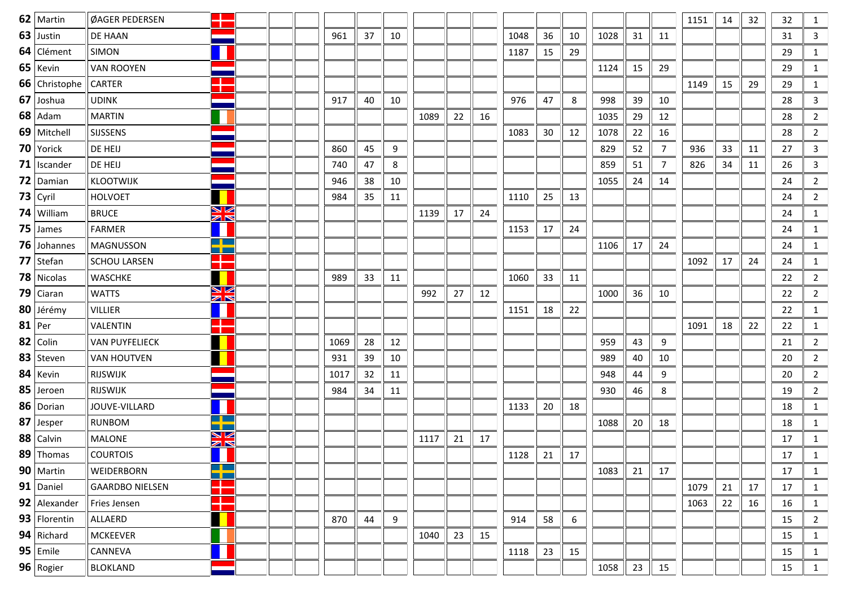|          | $62$ Martin    | ØAGER PEDERSEN         |                          |      |    |    |      |    |    |      |    |    |      |    |                | 1151 | 14 | 32 | 32 | 1              |
|----------|----------------|------------------------|--------------------------|------|----|----|------|----|----|------|----|----|------|----|----------------|------|----|----|----|----------------|
|          | $63$ Justin    | DE HAAN                |                          | 961  | 37 | 10 |      |    |    | 1048 | 36 | 10 | 1028 | 31 | 11             |      |    |    | 31 | $\overline{3}$ |
|          | $64$ Clément   | SIMON                  | Ш                        |      |    |    |      |    |    | 1187 | 15 | 29 |      |    |                |      |    |    | 29 | $\mathbf{1}$   |
|          | $65$   Kevin   | <b>VAN ROOYEN</b>      |                          |      |    |    |      |    |    |      |    |    | 1124 | 15 | 29             |      |    |    | 29 | 1              |
|          | 66 Christophe  | <b>CARTER</b>          | $\mathcal{L}$<br>T       |      |    |    |      |    |    |      |    |    |      |    |                | 1149 | 15 | 29 | 29 | $\mathbf{1}$   |
|          | $67$ Joshua    | <b>UDINK</b>           |                          | 917  | 40 | 10 |      |    |    | 976  | 47 | 8  | 998  | 39 | 10             |      |    |    | 28 | $\overline{3}$ |
|          | $68$   Adam    | <b>MARTIN</b>          |                          |      |    |    | 1089 | 22 | 16 |      |    |    | 1035 | 29 | 12             |      |    |    | 28 | $\overline{2}$ |
|          | 69 Mitchell    | SIJSSENS               |                          |      |    |    |      |    |    | 1083 | 30 | 12 | 1078 | 22 | 16             |      |    |    | 28 | $\overline{2}$ |
|          | $70$ Yorick    | DE HEIJ                |                          | 860  | 45 | 9  |      |    |    |      |    |    | 829  | 52 | $\overline{7}$ | 936  | 33 | 11 | 27 | 3              |
|          | 71   Iscander  | DE HEIJ                |                          | 740  | 47 | 8  |      |    |    |      |    |    | 859  | 51 | $\overline{7}$ | 826  | 34 | 11 | 26 | 3              |
|          | $72$ Damian    | KLOOTWIJK              |                          | 946  | 38 | 10 |      |    |    |      |    |    | 1055 | 24 | 14             |      |    |    | 24 | $\overline{2}$ |
|          | 73 $Cyril$     | <b>HOLVOET</b>         |                          | 984  | 35 | 11 |      |    |    | 1110 | 25 | 13 |      |    |                |      |    |    | 24 | $\overline{2}$ |
|          | 74 William     | <b>BRUCE</b>           | N K<br>7 N               |      |    |    | 1139 | 17 | 24 |      |    |    |      |    |                |      |    |    | 24 | $\mathbf{1}$   |
|          | $75$ James     | <b>FARMER</b>          |                          |      |    |    |      |    |    | 1153 | 17 | 24 |      |    |                |      |    |    | 24 | $\mathbf{1}$   |
|          | 76 Johannes    | <b>MAGNUSSON</b>       | <u>a ba</u><br><b>TE</b> |      |    |    |      |    |    |      |    |    | 1106 | 17 | 24             |      |    |    | 24 | $\mathbf{1}$   |
|          | 77   Stefan    | <b>SCHOU LARSEN</b>    | ٠                        |      |    |    |      |    |    |      |    |    |      |    |                | 1092 | 17 | 24 | 24 | 1              |
|          | 78 Nicolas     | WASCHKE                |                          | 989  | 33 | 11 |      |    |    | 1060 | 33 | 11 |      |    |                |      |    |    | 22 | $\overline{2}$ |
|          | $79$ Ciaran    | <b>WATTS</b>           | N<br>M<br>M              |      |    |    | 992  | 27 | 12 |      |    |    | 1000 | 36 | 10             |      |    |    | 22 | $\overline{2}$ |
|          | 80 Jérémy      | VILLIER                | Н                        |      |    |    |      |    |    | 1151 | 18 | 22 |      |    |                |      |    |    | 22 | 1              |
| $81$ Per |                | VALENTIN               | Q                        |      |    |    |      |    |    |      |    |    |      |    |                | 1091 | 18 | 22 | 22 | $\mathbf{1}$   |
|          | 82 Colin       | <b>VAN PUYFELIECK</b>  |                          | 1069 | 28 | 12 |      |    |    |      |    |    | 959  | 43 | 9              |      |    |    | 21 | $\overline{2}$ |
|          | 83   Steven    | <b>VAN HOUTVEN</b>     |                          | 931  | 39 | 10 |      |    |    |      |    |    | 989  | 40 | 10             |      |    |    | 20 | $\overline{2}$ |
|          | $84$ Kevin     | <b>RIJSWIJK</b>        |                          | 1017 | 32 | 11 |      |    |    |      |    |    | 948  | 44 | 9              |      |    |    | 20 | $\overline{2}$ |
|          | 85 Jeroen      | <b>RIJSWIJK</b>        |                          | 984  | 34 | 11 |      |    |    |      |    |    | 930  | 46 | 8              |      |    |    | 19 | $\overline{2}$ |
|          | 86 Dorian      | JOUVE-VILLARD          |                          |      |    |    |      |    |    | 1133 | 20 | 18 |      |    |                |      |    |    | 18 | 1              |
|          | $87$ Jesper    | <b>RUNBOM</b>          | <u>a k</u><br>n po       |      |    |    |      |    |    |      |    |    | 1088 | 20 | 18             |      |    |    | 18 | $\mathbf{1}$   |
|          | 88   Calvin    | <b>MALONE</b>          | N<br>M<br>M              |      |    |    | 1117 | 21 | 17 |      |    |    |      |    |                |      |    |    | 17 | $\mathbf{1}$   |
|          | 89 Thomas      | <b>COURTOIS</b>        |                          |      |    |    |      |    |    | 1128 | 21 | 17 |      |    |                |      |    |    | 17 | $\mathbf{1}$   |
|          | $90$ Martin    | WEIDERBORN             | <u>a ka</u><br>n pro     |      |    |    |      |    |    |      |    |    | 1083 | 21 | 17             |      |    |    | 17 | 1              |
|          | $91$ Daniel    | <b>GAARDBO NIELSEN</b> | - 11                     |      |    |    |      |    |    |      |    |    |      |    |                | 1079 | 21 | 17 | 17 | 1              |
|          | 92 Alexander   | Fries Jensen           | п                        |      |    |    |      |    |    |      |    |    |      |    |                | 1063 | 22 | 16 | 16 | 1              |
|          | 93   Florentin | ALLAERD                |                          | 870  | 44 | 9  |      |    |    | 914  | 58 | 6  |      |    |                |      |    |    | 15 | $\overline{2}$ |
|          | 94 Richard     | <b>MCKEEVER</b>        |                          |      |    |    | 1040 | 23 | 15 |      |    |    |      |    |                |      |    |    | 15 | $\mathbf{1}$   |
|          | $95$ Emile     | CANNEVA                |                          |      |    |    |      |    |    | 1118 | 23 | 15 |      |    |                |      |    |    | 15 | $\mathbf{1}$   |
|          | 96 Rogier      | <b>BLOKLAND</b>        |                          |      |    |    |      |    |    |      |    |    | 1058 | 23 | 15             |      |    |    | 15 | $\mathbf{1}$   |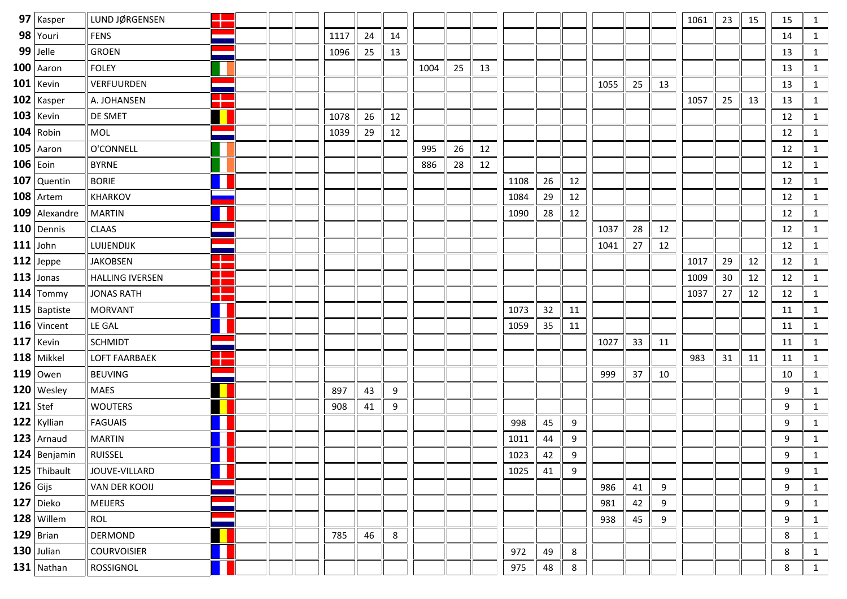|            | 97   Kasper    | LUND JØRGENSEN         | a k<br>П                        |  |      |    |    |      |    |    |      |    |    |      |    |    | 1061 | 23 | 15 | 15 | 1            |
|------------|----------------|------------------------|---------------------------------|--|------|----|----|------|----|----|------|----|----|------|----|----|------|----|----|----|--------------|
|            | $98$ Youri     | <b>FENS</b>            |                                 |  | 1117 | 24 | 14 |      |    |    |      |    |    |      |    |    |      |    |    | 14 | $\mathbf{1}$ |
|            | $99$ Jelle     | <b>GROEN</b>           |                                 |  | 1096 | 25 | 13 |      |    |    |      |    |    |      |    |    |      |    |    | 13 | $\mathbf{1}$ |
|            | $100$ Aaron    | <b>FOLEY</b>           |                                 |  |      |    |    | 1004 | 25 | 13 |      |    |    |      |    |    |      |    |    | 13 | 1            |
|            | $101$ Kevin    | VERFUURDEN             |                                 |  |      |    |    |      |    |    |      |    |    | 1055 | 25 | 13 |      |    |    | 13 | $\mathbf{1}$ |
|            | $102$   Kasper | A. JOHANSEN            | <b>COLOR</b><br>- 1             |  |      |    |    |      |    |    |      |    |    |      |    |    | 1057 | 25 | 13 | 13 | $\mathbf{1}$ |
|            | $103$ Kevin    | DE SMET                |                                 |  | 1078 | 26 | 12 |      |    |    |      |    |    |      |    |    |      |    |    | 12 | 1            |
|            | $104$ Robin    | MOL                    |                                 |  | 1039 | 29 | 12 |      |    |    |      |    |    |      |    |    |      |    |    | 12 | $\mathbf{1}$ |
|            | $105$ Aaron    | O'CONNELL              |                                 |  |      |    |    | 995  | 26 | 12 |      |    |    |      |    |    |      |    |    | 12 | 1            |
|            | $106$ Eoin     | <b>BYRNE</b>           |                                 |  |      |    |    | 886  | 28 | 12 |      |    |    |      |    |    |      |    |    | 12 | 1            |
|            | 107 Quentin    | <b>BORIE</b>           |                                 |  |      |    |    |      |    |    | 1108 | 26 | 12 |      |    |    |      |    |    | 12 | $\mathbf{1}$ |
|            | $108$ Artem    | <b>KHARKOV</b>         |                                 |  |      |    |    |      |    |    | 1084 | 29 | 12 |      |    |    |      |    |    | 12 | $\mathbf{1}$ |
|            | 109 Alexandre  | <b>MARTIN</b>          | L                               |  |      |    |    |      |    |    | 1090 | 28 | 12 |      |    |    |      |    |    | 12 | 1            |
|            | 110 Dennis     | CLAAS                  |                                 |  |      |    |    |      |    |    |      |    |    | 1037 | 28 | 12 |      |    |    | 12 | $\mathbf{1}$ |
|            | $111$ John     | LUIJENDIJK             |                                 |  |      |    |    |      |    |    |      |    |    | 1041 | 27 | 12 |      |    |    | 12 | $\mathbf{1}$ |
|            | $112$ Jeppe    | <b>JAKOBSEN</b>        | - 11<br>- 1                     |  |      |    |    |      |    |    |      |    |    |      |    |    | 1017 | 29 | 12 | 12 | 1            |
|            | $113$ Jonas    | <b>HALLING IVERSEN</b> | $\mathbb{R}^n$<br>a pr          |  |      |    |    |      |    |    |      |    |    |      |    |    | 1009 | 30 | 12 | 12 | $\mathbf{1}$ |
|            | $114$ Tommy    | <b>JONAS RATH</b>      | $\mathcal{L}^{\text{max}}$<br>T |  |      |    |    |      |    |    |      |    |    |      |    |    | 1037 | 27 | 12 | 12 | 1            |
|            | 115   Baptiste | <b>MORVANT</b>         | Н                               |  |      |    |    |      |    |    | 1073 | 32 | 11 |      |    |    |      |    |    | 11 | 1            |
|            | $116$ Vincent  | LE GAL                 |                                 |  |      |    |    |      |    |    | 1059 | 35 | 11 |      |    |    |      |    |    | 11 | $\mathbf{1}$ |
|            | $117$ Kevin    | <b>SCHMIDT</b>         |                                 |  |      |    |    |      |    |    |      |    |    | 1027 | 33 | 11 |      |    |    | 11 | 1            |
|            | $118$ Mikkel   | <b>LOFT FAARBAEK</b>   | a ka<br>٠                       |  |      |    |    |      |    |    |      |    |    |      |    |    | 983  | 31 | 11 | 11 | 1            |
|            | $119$ Owen     | <b>BEUVING</b>         |                                 |  |      |    |    |      |    |    |      |    |    | 999  | 37 | 10 |      |    |    | 10 | 1            |
|            | $120$   Wesley | <b>MAES</b>            |                                 |  | 897  | 43 | 9  |      |    |    |      |    |    |      |    |    |      |    |    | 9  | 1            |
| $121$ Stef |                | <b>WOUTERS</b>         |                                 |  | 908  | 41 | 9  |      |    |    |      |    |    |      |    |    |      |    |    | 9  | 1            |
|            | 122 Kyllian    | <b>FAGUAIS</b>         |                                 |  |      |    |    |      |    |    | 998  | 45 | 9  |      |    |    |      |    |    | 9  | $\mathbf{1}$ |
|            | $123$ Arnaud   | <b>MARTIN</b>          | Н                               |  |      |    |    |      |    |    | 1011 | 44 | 9  |      |    |    |      |    |    | 9  | 1            |
|            | 124 Benjamin   | <b>RUISSEL</b>         |                                 |  |      |    |    |      |    |    | 1023 | 42 | 9  |      |    |    |      |    |    | 9  | 1            |
|            | $125$ Thibault | JOUVE-VILLARD          |                                 |  |      |    |    |      |    |    | 1025 | 41 | 9  |      |    |    |      |    |    | 9  | 1            |
| $126$ Gijs |                | VAN DER KOOIJ          |                                 |  |      |    |    |      |    |    |      |    |    | 986  | 41 | 9  |      |    |    | 9  | 1            |
|            | $127$ Dieko    | <b>MEIJERS</b>         |                                 |  |      |    |    |      |    |    |      |    |    | 981  | 42 | 9  |      |    |    | 9  | 1            |
|            | $128$ Willem   | ROL                    |                                 |  |      |    |    |      |    |    |      |    |    | 938  | 45 | 9  |      |    |    | 9  | 1            |
|            | $129$ Brian    | <b>DERMOND</b>         |                                 |  | 785  | 46 | 8  |      |    |    |      |    |    |      |    |    |      |    |    | 8  | 1            |
|            | $130$ Julian   | <b>COURVOISIER</b>     |                                 |  |      |    |    |      |    |    | 972  | 49 | 8  |      |    |    |      |    |    | 8  | 1            |
|            | $131$ Nathan   | ROSSIGNOL              |                                 |  |      |    |    |      |    |    | 975  | 48 | 8  |      |    |    |      |    |    | 8  | $\mathbf{1}$ |